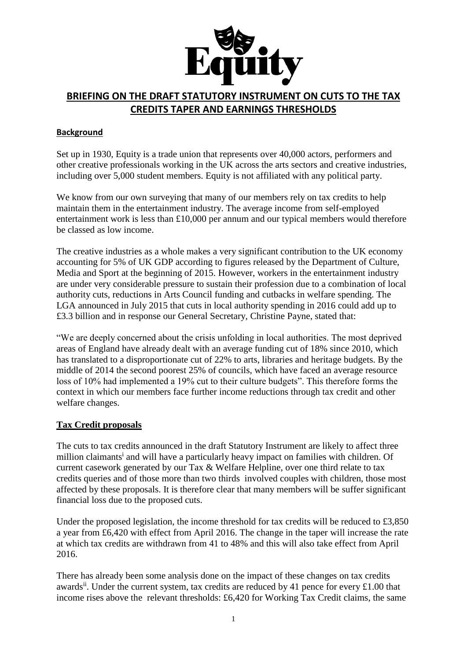

# **BRIEFING ON THE DRAFT STATUTORY INSTRUMENT ON CUTS TO THE TAX CREDITS TAPER AND EARNINGS THRESHOLDS**

## **Background**

Set up in 1930, Equity is a trade union that represents over 40,000 actors, performers and other creative professionals working in the UK across the arts sectors and creative industries, including over 5,000 student members. Equity is not affiliated with any political party.

We know from our own surveying that many of our members rely on tax credits to help maintain them in the entertainment industry. The average income from self-employed entertainment work is less than £10,000 per annum and our typical members would therefore be classed as low income.

The creative industries as a whole makes a very significant contribution to the UK economy accounting for 5% of UK GDP according to figures released by the Department of Culture, Media and Sport at the beginning of 2015. However, workers in the entertainment industry are under very considerable pressure to sustain their profession due to a combination of local authority cuts, reductions in Arts Council funding and cutbacks in welfare spending. The LGA announced in July 2015 that cuts in local authority spending in 2016 could add up to £3.3 billion and in response our General Secretary, Christine Payne, stated that:

"We are deeply concerned about the crisis unfolding in local authorities. The most deprived areas of England have already dealt with an average funding cut of 18% since 2010, which has translated to a disproportionate cut of 22% to arts, libraries and heritage budgets. By the middle of 2014 the second poorest 25% of councils, which have faced an average resource loss of 10% had implemented a 19% cut to their culture budgets". This therefore forms the context in which our members face further income reductions through tax credit and other welfare changes.

## **Tax Credit proposals**

The cuts to tax credits announced in the draft Statutory Instrument are likely to affect three million claimants<sup>i</sup> and will have a particularly heavy impact on families with children. Of current casework generated by our Tax & Welfare Helpline, over one third relate to tax credits queries and of those more than two thirds involved couples with children, those most affected by these proposals. It is therefore clear that many members will be suffer significant financial loss due to the proposed cuts.

Under the proposed legislation, the income threshold for tax credits will be reduced to £3,850 a year from £6,420 with effect from April 2016. The change in the taper will increase the rate at which tax credits are withdrawn from 41 to 48% and this will also take effect from April 2016.

There has already been some analysis done on the impact of these changes on tax credits awards<sup>ii</sup>. Under the current system, tax credits are reduced by 41 pence for every £1.00 that income rises above the relevant thresholds: £6,420 for Working Tax Credit claims, the same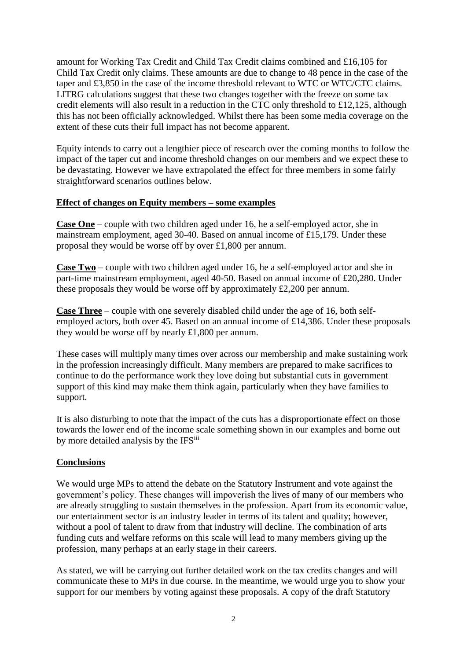amount for Working Tax Credit and Child Tax Credit claims combined and £16,105 for Child Tax Credit only claims. These amounts are due to change to 48 pence in the case of the taper and £3,850 in the case of the income threshold relevant to WTC or WTC/CTC claims. LITRG calculations suggest that these two changes together with the freeze on some tax credit elements will also result in a reduction in the CTC only threshold to £12,125, although this has not been officially acknowledged. Whilst there has been some media coverage on the extent of these cuts their full impact has not become apparent.

Equity intends to carry out a lengthier piece of research over the coming months to follow the impact of the taper cut and income threshold changes on our members and we expect these to be devastating. However we have extrapolated the effect for three members in some fairly straightforward scenarios outlines below.

### **Effect of changes on Equity members – some examples**

**Case One** – couple with two children aged under 16, he a self-employed actor, she in mainstream employment, aged 30-40. Based on annual income of £15,179. Under these proposal they would be worse off by over £1,800 per annum.

**Case Two** – couple with two children aged under 16, he a self-employed actor and she in part-time mainstream employment, aged 40-50. Based on annual income of £20,280. Under these proposals they would be worse off by approximately £2,200 per annum.

**Case Three** – couple with one severely disabled child under the age of 16, both selfemployed actors, both over 45. Based on an annual income of £14,386. Under these proposals they would be worse off by nearly £1,800 per annum.

These cases will multiply many times over across our membership and make sustaining work in the profession increasingly difficult. Many members are prepared to make sacrifices to continue to do the performance work they love doing but substantial cuts in government support of this kind may make them think again, particularly when they have families to support.

It is also disturbing to note that the impact of the cuts has a disproportionate effect on those towards the lower end of the income scale something shown in our examples and borne out by more detailed analysis by the IFS<sup>iii</sup>

### **Conclusions**

We would urge MPs to attend the debate on the Statutory Instrument and vote against the government's policy. These changes will impoverish the lives of many of our members who are already struggling to sustain themselves in the profession. Apart from its economic value, our entertainment sector is an industry leader in terms of its talent and quality; however, without a pool of talent to draw from that industry will decline. The combination of arts funding cuts and welfare reforms on this scale will lead to many members giving up the profession, many perhaps at an early stage in their careers.

As stated, we will be carrying out further detailed work on the tax credits changes and will communicate these to MPs in due course. In the meantime, we would urge you to show your support for our members by voting against these proposals. A copy of the draft Statutory